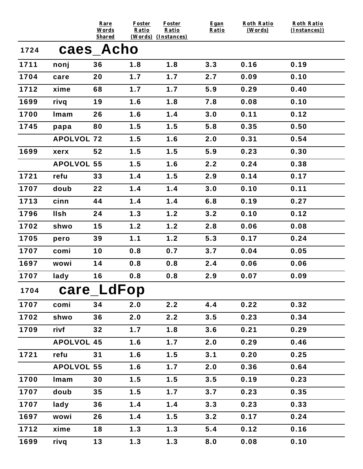|      |                   | Rare<br>Words<br><b>Shared</b> | Foster<br>Ratio | <b>Foster</b><br>Ratio<br>(Words) (Instances) | Egan<br>Ratio | <b>Roth Ratio</b><br>(Words) | <b>Roth Ratio</b><br>(Instances)) |
|------|-------------------|--------------------------------|-----------------|-----------------------------------------------|---------------|------------------------------|-----------------------------------|
| 1724 | caes_Acho         |                                |                 |                                               |               |                              |                                   |
| 1711 | nonj              | 36                             | 1.8             | 1.8                                           | 3.3           | 0.16                         | 0.19                              |
| 1704 | care              | 20                             | 1.7             | 1.7                                           | 2.7           | 0.09                         | 0.10                              |
| 1712 | xime              | 68                             | 1.7             | 1.7                                           | 5.9           | 0.29                         | 0.40                              |
| 1699 | rivq              | 19                             | 1.6             | 1.8                                           | 7.8           | 0.08                         | 0.10                              |
| 1700 | Imam              | 26                             | 1.6             | 1.4                                           | 3.0           | 0.11                         | 0.12                              |
| 1745 | papa              | 80                             | 1.5             | 1.5                                           | 5.8           | 0.35                         | 0.50                              |
|      | <b>APOLVOL 72</b> |                                | 1.5             | 1.6                                           | 2.0           | 0.31                         | 0.54                              |
| 1699 | xerx              | 52                             | 1.5             | 1.5                                           | 5.9           | 0.23                         | 0.30                              |
|      | <b>APOLVOL 55</b> |                                | 1.5             | 1.6                                           | 2.2           | 0.24                         | 0.38                              |
| 1721 | refu              | 33                             | 1.4             | 1.5                                           | 2.9           | 0.14                         | 0.17                              |
| 1707 | doub              | 22                             | 1.4             | 1.4                                           | 3.0           | 0.10                         | 0.11                              |
| 1713 | cinn              | 44                             | 1.4             | 1.4                                           | 6.8           | 0.19                         | 0.27                              |
| 1796 | <b>Ilsh</b>       | 24                             | 1.3             | 1.2                                           | 3.2           | 0.10                         | 0.12                              |
| 1702 | shwo              | 15                             | 1.2             | 1.2                                           | 2.8           | 0.06                         | 0.08                              |
| 1705 | pero              | 39                             | 1.1             | 1.2                                           | 5.3           | 0.17                         | 0.24                              |
| 1707 | comi              | 10                             | 0.8             | 0.7                                           | 3.7           | 0.04                         | 0.05                              |
| 1697 | wowi              | 14                             | 0.8             | 0.8                                           | 2.4           | 0.06                         | 0.06                              |
| 1707 | lady              | 16                             | 0.8             | 0.8                                           | 2.9           | 0.07                         | 0.09                              |
| 1704 | care_LdFop        |                                |                 |                                               |               |                              |                                   |
| 1707 | comi              | 34                             | 2.0             | 2.2                                           | 4.4           | 0.22                         | 0.32                              |
| 1702 | shwo              | 36                             | 2.0             | 2.2                                           | 3.5           | 0.23                         | 0.34                              |
| 1709 | rivf              | 32                             | 1.7             | 1.8                                           | 3.6           | 0.21                         | 0.29                              |
|      | <b>APOLVOL 45</b> |                                | 1.6             | 1.7                                           | 2.0           | 0.29                         | 0.46                              |
| 1721 | refu              | 31                             | 1.6             | 1.5                                           | 3.1           | 0.20                         | 0.25                              |
|      | <b>APOLVOL 55</b> |                                | 1.6             | 1.7                                           | 2.0           | 0.36                         | 0.64                              |
| 1700 | Imam              | 30                             | 1.5             | 1.5                                           | 3.5           | 0.19                         | 0.23                              |
| 1707 | doub              | 35                             | 1.5             | 1.7                                           | 3.7           | 0.23                         | 0.35                              |
| 1707 | lady              | 36                             | 1.4             | 1.4                                           | 3.3           | 0.23                         | 0.33                              |
| 1697 | wowi              | 26                             | 1.4             | 1.5                                           | 3.2           | 0.17                         | 0.24                              |
| 1712 | xime              | 18                             | 1.3             | 1.3                                           | 5.4           | 0.12                         | 0.16                              |
| 1699 | rivq              | $13$                           | 1.3             | 1.3                                           | 8.0           | 0.08                         | 0.10                              |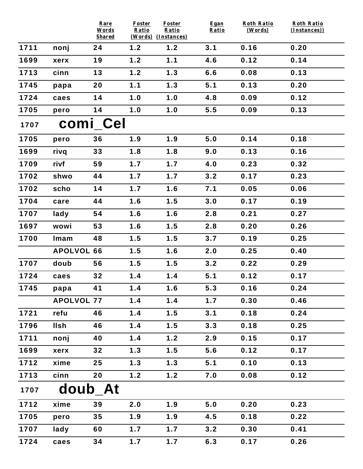|                  |                   | Rare<br>Words       | <b>Foster</b><br>Ratio | <b>Foster</b><br>Ratio     | Egan<br>Ratio | <b>Roth Ratio</b><br>(Words) | <b>Roth Ratio</b><br>(Instances)) |  |  |  |
|------------------|-------------------|---------------------|------------------------|----------------------------|---------------|------------------------------|-----------------------------------|--|--|--|
| 1711             | nonj              | <b>Shared</b><br>24 | 1.2                    | (Words) (Instances)<br>1.2 | 3.1           | 0.16                         | 0.20                              |  |  |  |
| 1699             |                   |                     | 1.2                    | 1.1                        |               |                              | 0.14                              |  |  |  |
|                  | xerx              | 19                  |                        |                            | 4.6           | 0.12                         |                                   |  |  |  |
| 1713             | cinn              | 13                  | 1.2                    | 1.3                        | 6.6           | 0.08                         | 0.13                              |  |  |  |
| 1745             | papa              | 20                  | 1.1                    | 1.3                        | 5.1           | 0.13                         | 0.20                              |  |  |  |
| 1724             | caes              | 14                  | 1.0                    | 1.0                        | 4.8           | 0.09                         | 0.12                              |  |  |  |
| 1705             | pero              | 14                  | 1.0                    | 1.0                        | 5.5           | 0.09                         | 0.13                              |  |  |  |
| comi_Cel<br>1707 |                   |                     |                        |                            |               |                              |                                   |  |  |  |
| 1705             | pero              | 36                  | 1.9                    | 1.9                        | 5.0           | 0.14                         | 0.18                              |  |  |  |
| 1699             | rivq              | 33                  | 1.8                    | 1.8                        | 9.0           | 0.13                         | 0.16                              |  |  |  |
| 1709             | rivf              | 59                  | 1.7                    | 1.7                        | 4.0           | 0.23                         | 0.32                              |  |  |  |
| 1702             | shwo              | 44                  | 1.7                    | 1.7                        | 3.2           | 0.17                         | 0.23                              |  |  |  |
| 1702             | scho              | 14                  | 1.7                    | 1.6                        | 7.1           | 0.05                         | 0.06                              |  |  |  |
| 1704             | care              | 44                  | 1.6                    | 1.5                        | 3.0           | 0.17                         | 0.19                              |  |  |  |
| 1707             | lady              | 54                  | 1.6                    | 1.6                        | 2.8           | 0.21                         | 0.27                              |  |  |  |
| 1697             | wowi              | 53                  | 1.6                    | 1.5                        | 2.8           | 0.20                         | 0.26                              |  |  |  |
| 1700             | Imam              | 48                  | 1.5                    | 1.5                        | 3.7           | 0.19                         | 0.25                              |  |  |  |
|                  | <b>APOLVOL 66</b> |                     | 1.5                    | 1.6                        | 2.0           | 0.25                         | 0.40                              |  |  |  |
| 1707             | doub              | 56                  | 1.5                    | 1.5                        | 3.2           | 0.22                         | 0.29                              |  |  |  |
| 1724             | caes              | 32                  | 1.4                    | 1.4                        | 5.1           | 0.12                         | 0.17                              |  |  |  |
| 1745             | papa              | 41                  | 1.4                    | 1.6                        | 5.3           | 0.16                         | 0.24                              |  |  |  |
|                  | <b>APOLVOL 77</b> |                     | 1.4                    | 1.4                        | 1.7           | 0.30                         | 0.46                              |  |  |  |
| 1721             | refu              | 46                  | 1.4                    | 1.5                        | 3.1           | 0.18                         | 0.24                              |  |  |  |
| 1796             | <b>Ilsh</b>       | 46                  | 1.4                    | 1.5                        | 3.3           | 0.18                         | 0.25                              |  |  |  |
| 1711             | nonj              | 40                  | 1.4                    | 1.2                        | 2.9           | 0.15                         | 0.17                              |  |  |  |
| 1699             | xerx              | 32                  | 1.3                    | 1.5                        | 5.6           | 0.12                         | 0.17                              |  |  |  |
| 1712             | xime              | 25                  | 1.3                    | 1.3                        | 5.1           | 0.10                         | 0.13                              |  |  |  |
| 1713             | cinn              | 20                  | 1.2                    | 1.2                        | 7.0           | 0.08                         | 0.12                              |  |  |  |
| 1707             | doub_At           |                     |                        |                            |               |                              |                                   |  |  |  |
| 1712             | xime              | 39                  | 2.0                    | 1.9                        | 5.0           | 0.20                         | 0.23                              |  |  |  |
| 1705             | pero              | 35                  | 1.9                    | 1.9                        | 4.5           | 0.18                         | 0.22                              |  |  |  |
| 1707             | lady              | 60                  | 1.7                    | 1.7                        | 3.2           | 0.30                         | 0.41                              |  |  |  |
| 1724             | caes              | 34                  | 1.7                    | 1.7                        | 6.3           | 0.17                         | 0.26                              |  |  |  |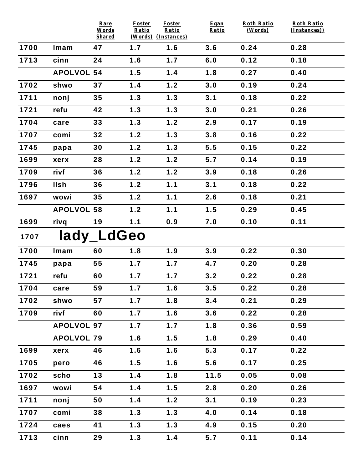|      |                   | Rare<br>Words       | Foster<br>Ratio | Foster<br>Ratio            | Egan<br>Ratio | <b>Roth Ratio</b><br>(Words) | <b>Roth Ratio</b><br>(Instances)) |
|------|-------------------|---------------------|-----------------|----------------------------|---------------|------------------------------|-----------------------------------|
| 1700 | Imam              | <b>Shared</b><br>47 | 1.7             | (Words) (Instances)<br>1.6 | 3.6           | 0.24                         | 0.28                              |
| 1713 | cinn              | 24                  | 1.6             | 1.7                        | 6.0           | 0.12                         | 0.18                              |
|      | <b>APOLVOL 54</b> |                     | 1.5             | 1.4                        | 1.8           | 0.27                         | 0.40                              |
| 1702 | shwo              | 37                  | 1.4             | 1.2                        | 3.0           | 0.19                         | 0.24                              |
|      |                   | 35                  |                 |                            |               |                              |                                   |
| 1711 | nonj              |                     | 1.3             | 1.3                        | 3.1           | 0.18                         | 0.22                              |
| 1721 | refu              | 42                  | 1.3             | 1.3                        | 3.0           | 0.21                         | 0.26                              |
| 1704 | care              | 33                  | 1.3             | 1.2                        | 2.9           | 0.17                         | 0.19                              |
| 1707 | comi              | 32                  | 1.2             | 1.3                        | 3.8           | 0.16                         | 0.22                              |
| 1745 | papa              | 30                  | 1.2             | 1.3                        | 5.5           | 0.15                         | 0.22                              |
| 1699 | xerx              | 28                  | 1.2             | 1.2                        | 5.7           | 0.14                         | 0.19                              |
| 1709 | rivf              | 36                  | 1.2             | 1.2                        | 3.9           | 0.18                         | 0.26                              |
| 1796 | <b>Ilsh</b>       | 36                  | 1.2             | 1.1                        | 3.1           | 0.18                         | 0.22                              |
| 1697 | wowi              | 35                  | 1.2             | 1.1                        | 2.6           | 0.18                         | 0.21                              |
|      | <b>APOLVOL 58</b> |                     | 1.2             | 1.1                        | 1.5           | 0.29                         | 0.45                              |
| 1699 | rivq              | 19                  | 1.1             | 0.9                        | 7.0           | 0.10                         | 0.11                              |
| 1707 |                   | lady_LdGeo          |                 |                            |               |                              |                                   |
| 1700 | Imam              | 60                  | 1.8             | 1.9                        | 3.9           | 0.22                         | 0.30                              |
| 1745 | papa              | 55                  | 1.7             | 1.7                        | 4.7           | 0.20                         | 0.28                              |
| 1721 | refu              | 60                  | 1.7             | 1.7                        | 3.2           | 0.22                         | 0.28                              |
| 1704 | care              | 59                  | 1.7             | 1.6                        | 3.5           | 0.22                         | 0.28                              |
| 1702 | shwo              | 57                  | 1.7             | 1.8                        | 3.4           | 0.21                         | 0.29                              |
| 1709 | rivf              | 60                  | 1.7             | 1.6                        | 3.6           | 0.22                         | 0.28                              |
|      | <b>APOLVOL 97</b> |                     | 1.7             | 1.7                        | 1.8           | 0.36                         | 0.59                              |
|      | <b>APOLVOL 79</b> |                     | 1.6             | 1.5                        | 1.8           | 0.29                         | 0.40                              |
| 1699 | xerx              | 46                  | 1.6             | 1.6                        | 5.3           | 0.17                         | 0.22                              |
| 1705 | pero              | 46                  | 1.5             | 1.6                        | 5.6           | 0.17                         | 0.25                              |
| 1702 | scho              | 13                  | 1.4             | 1.8                        | 11.5          | 0.05                         | 0.08                              |
| 1697 | wowi              | 54                  | 1.4             | 1.5                        | 2.8           | 0.20                         | 0.26                              |
| 1711 | nonj              | 50                  | 1.4             | 1.2                        | 3.1           | 0.19                         | 0.23                              |
| 1707 | comi              | 38                  | 1.3             | 1.3                        | 4.0           | 0.14                         | 0.18                              |
| 1724 | caes              | 41                  | 1.3             | 1.3                        | 4.9           | 0.15                         | 0.20                              |
| 1713 | cinn              | 29                  | 1.3             | 1.4                        | 5.7           | 0.11                         | 0.14                              |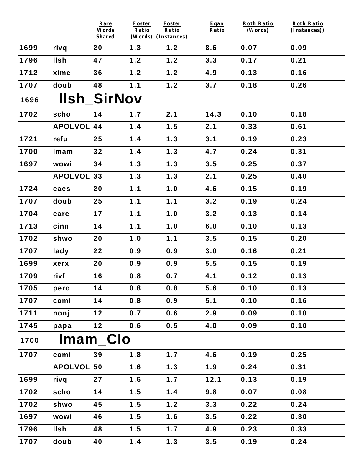|      |                   | Rare<br>Words<br><b>Shared</b> | <b>Foster</b><br>Ratio | Foster<br>Ratio<br>(Words) (Instances) | Egan<br>Ratio | <b>Roth Ratio</b><br>(Words) | <b>Roth Ratio</b><br>$(Instances)$ ) |
|------|-------------------|--------------------------------|------------------------|----------------------------------------|---------------|------------------------------|--------------------------------------|
| 1699 | rivq              | 20                             | 1.3                    | 1.2                                    | 8.6           | 0.07                         | 0.09                                 |
| 1796 | <b>Ilsh</b>       | 47                             | 1.2                    | 1.2                                    | 3.3           | 0.17                         | 0.21                                 |
| 1712 | xime              | 36                             | 1.2                    | 1.2                                    | 4.9           | 0.13                         | 0.16                                 |
| 1707 | doub              | 48                             | 1.1                    | 1.2                                    | 3.7           | 0.18                         | 0.26                                 |
| 1696 |                   | <b>IIsh SirNov</b>             |                        |                                        |               |                              |                                      |
| 1702 | scho              | 14                             | 1.7                    | 2.1                                    | 14.3          | 0.10                         | 0.18                                 |
|      | <b>APOLVOL 44</b> |                                | 1.4                    | 1.5                                    | 2.1           | 0.33                         | 0.61                                 |
| 1721 | refu              | 25                             | 1.4                    | 1.3                                    | 3.1           | 0.19                         | 0.23                                 |
| 1700 | Imam              | 32                             | 1.4                    | 1.3                                    | 4.7           | 0.24                         | 0.31                                 |
| 1697 | wowi              | 34                             | 1.3                    | 1.3                                    | 3.5           | 0.25                         | 0.37                                 |
|      | <b>APOLVOL 33</b> |                                | 1.3                    | 1.3                                    | 2.1           | 0.25                         | 0.40                                 |
| 1724 | caes              | 20                             | 1.1                    | 1.0                                    | 4.6           | 0.15                         | 0.19                                 |
| 1707 | doub              | 25                             | 1.1                    | 1.1                                    | 3.2           | 0.19                         | 0.24                                 |
| 1704 | care              | 17                             | 1.1                    | 1.0                                    | 3.2           | 0.13                         | 0.14                                 |
| 1713 | cinn              | 14                             | 1.1                    | 1.0                                    | 6.0           | 0.10                         | 0.13                                 |
| 1702 | shwo              | 20                             | 1.0                    | 1.1                                    | 3.5           | 0.15                         | 0.20                                 |
| 1707 | lady              | 22                             | 0.9                    | 0.9                                    | 3.0           | 0.16                         | 0.21                                 |
| 1699 | xerx              | 20                             | 0.9                    | 0.9                                    | 5.5           | 0.15                         | 0.19                                 |
| 1709 | rivf              | 16                             | 0.8                    | 0.7                                    | 4.1           | 0.12                         | 0.13                                 |
| 1705 | pero              | 14                             | 0.8                    | 0.8                                    | 5.6           | 0.10                         | 0.13                                 |
| 1707 | comi              | 14                             | 0.8                    | 0.9                                    | 5.1           | 0.10                         | 0.16                                 |
| 1711 | nonj              | 12                             | 0.7                    | 0.6                                    | 2.9           | 0.09                         | 0.10                                 |
| 1745 | papa              | 12                             | 0.6                    | 0.5                                    | 4.0           | 0.09                         | 0.10                                 |
| 1700 |                   | <b>Imam Clo</b>                |                        |                                        |               |                              |                                      |
| 1707 | comi              | 39                             | 1.8                    | 1.7                                    | 4.6           | 0.19                         | 0.25                                 |
|      | <b>APOLVOL 50</b> |                                | 1.6                    | 1.3                                    | 1.9           | 0.24                         | 0.31                                 |
| 1699 | rivq              | 27                             | 1.6                    | 1.7                                    | 12.1          | 0.13                         | 0.19                                 |
| 1702 | scho              | 14                             | 1.5                    | 1.4                                    | 9.8           | 0.07                         | 0.08                                 |
| 1702 | shwo              | 45                             | 1.5                    | 1.2                                    | 3.3           | 0.22                         | 0.24                                 |
| 1697 | wowi              | 46                             | 1.5                    | 1.6                                    | 3.5           | 0.22                         | 0.30                                 |
| 1796 | <b>Ilsh</b>       | 48                             | 1.5                    | 1.7                                    | 4.9           | 0.23                         | 0.33                                 |
| 1707 | doub              | 40                             | 1.4                    | 1.3                                    | 3.5           | 0.19                         | 0.24                                 |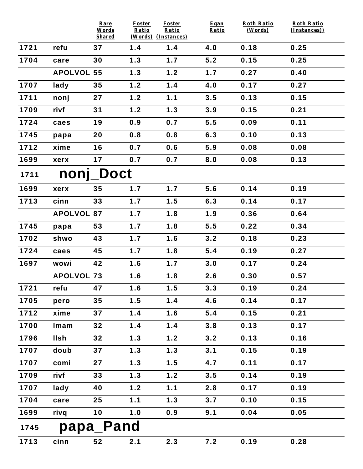|      |                   | Rare<br>Words | <b>Foster</b><br>Ratio | <b>Foster</b><br>Ratio | Egan<br>Ratio | Roth Ratio<br>(Words) | <b>Roth Ratio</b><br>(Instances)) |  |  |  |
|------|-------------------|---------------|------------------------|------------------------|---------------|-----------------------|-----------------------------------|--|--|--|
|      |                   | <b>Shared</b> |                        | (Words) (Instances)    |               |                       |                                   |  |  |  |
| 1721 | refu              | 37            | 1.4                    | 1.4                    | 4.0           | 0.18                  | 0.25                              |  |  |  |
| 1704 | care              | 30            | 1.3                    | 1.7                    | 5.2           | 0.15                  | 0.25                              |  |  |  |
|      | <b>APOLVOL 55</b> |               | 1.3                    | 1.2                    | 1.7           | 0.27                  | 0.40                              |  |  |  |
| 1707 | lady              | 35            | 1.2                    | 1.4                    | 4.0           | 0.17                  | 0.27                              |  |  |  |
| 1711 | nonj              | 27            | 1.2                    | 1.1                    | 3.5           | 0.13                  | 0.15                              |  |  |  |
| 1709 | rivf              | 31            | 1.2                    | 1.3                    | 3.9           | 0.15                  | 0.21                              |  |  |  |
| 1724 | caes              | 19            | 0.9                    | 0.7                    | 5.5           | 0.09                  | 0.11                              |  |  |  |
| 1745 | papa              | 20            | 0.8                    | 0.8                    | 6.3           | 0.10                  | 0.13                              |  |  |  |
| 1712 | xime              | 16            | 0.7                    | 0.6                    | 5.9           | 0.08                  | 0.08                              |  |  |  |
| 1699 | xerx              | 17            | 0.7                    | 0.7                    | 8.0           | 0.08                  | 0.13                              |  |  |  |
| 1711 | nonj_Doct         |               |                        |                        |               |                       |                                   |  |  |  |
| 1699 | xerx              | 35            | 1.7                    | 1.7                    | 5.6           | 0.14                  | 0.19                              |  |  |  |
| 1713 | cinn              | 33            | 1.7                    | 1.5                    | 6.3           | 0.14                  | 0.17                              |  |  |  |
|      | <b>APOLVOL 87</b> |               | 1.7                    | 1.8                    | 1.9           | 0.36                  | 0.64                              |  |  |  |
| 1745 | papa              | 53            | 1.7                    | 1.8                    | 5.5           | 0.22                  | 0.34                              |  |  |  |
| 1702 | shwo              | 43            | 1.7                    | 1.6                    | 3.2           | 0.18                  | 0.23                              |  |  |  |
| 1724 | caes              | 45            | 1.7                    | 1.8                    | 5.4           | 0.19                  | 0.27                              |  |  |  |
| 1697 | wowi              | 42            | 1.6                    | 1.7                    | 3.0           | 0.17                  | 0.24                              |  |  |  |
|      | <b>APOLVOL 73</b> |               | 1.6                    | 1.8                    | 2.6           | 0.30                  | 0.57                              |  |  |  |
| 1721 | refu              | 47            | 1.6                    | 1.5                    | 3.3           | 0.19                  | 0.24                              |  |  |  |
| 1705 | pero              | 35            | 1.5                    | 1.4                    | 4.6           | 0.14                  | 0.17                              |  |  |  |
| 1712 | xime              | 37            | 1.4                    | 1.6                    | 5.4           | 0.15                  | 0.21                              |  |  |  |
| 1700 | Imam              | 32            | 1.4                    | 1.4                    | 3.8           | 0.13                  | 0.17                              |  |  |  |
| 1796 | <b>Ilsh</b>       | 32            | 1.3                    | 1.2                    | 3.2           | 0.13                  | 0.16                              |  |  |  |
| 1707 | doub              | 37            | 1.3                    | 1.3                    | 3.1           | 0.15                  | 0.19                              |  |  |  |
| 1707 | comi              | 27            | 1.3                    | 1.5                    | 4.7           | 0.11                  | 0.17                              |  |  |  |
| 1709 | rivf              | 33            | 1.3                    | 1.2                    | 3.5           | 0.14                  | 0.19                              |  |  |  |
| 1707 | lady              | 40            | 1.2                    | 1.1                    | 2.8           | 0.17                  | 0.19                              |  |  |  |
| 1704 | care              | 25            | 1.1                    | 1.3                    | 3.7           | 0.10                  | 0.15                              |  |  |  |
| 1699 | rivq              | 10            | 1.0                    | 0.9                    | 9.1           | 0.04                  | 0.05                              |  |  |  |
| 1745 | papa_Pand         |               |                        |                        |               |                       |                                   |  |  |  |
| 1713 | cinn              | 52            | 2.1                    | 2.3                    | 7.2           | 0.19                  | 0.28                              |  |  |  |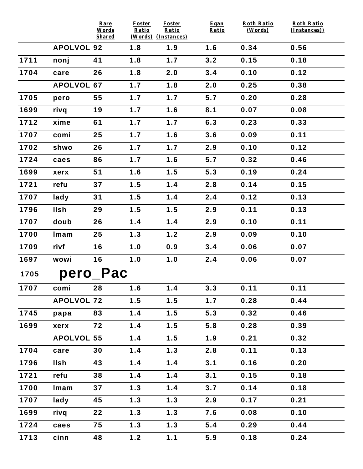|      |                   | Rare<br>Words<br><b>Shared</b> | Foster<br>Ratio | <b>Foster</b><br>Ratio<br>(Words) (Instances) | Egan<br>Ratio | <b>Roth Ratio</b><br>(Words) | <b>Roth Ratio</b><br>(Instances)) |
|------|-------------------|--------------------------------|-----------------|-----------------------------------------------|---------------|------------------------------|-----------------------------------|
|      | <b>APOLVOL 92</b> |                                | 1.8             | 1.9                                           | 1.6           | 0.34                         | 0.56                              |
| 1711 | nonj              | 41                             | 1.8             | 1.7                                           | 3.2           | 0.15                         | 0.18                              |
| 1704 | care              | 26                             | 1.8             | 2.0                                           | 3.4           | 0.10                         | 0.12                              |
|      | <b>APOLVOL 67</b> |                                | 1.7             | 1.8                                           | 2.0           | 0.25                         | 0.38                              |
| 1705 | pero              | 55                             | 1.7             | 1.7                                           | 5.7           | 0.20                         | 0.28                              |
| 1699 | rivq              | 19                             | 1.7             | 1.6                                           | 8.1           | 0.07                         | 0.08                              |
| 1712 | xime              | 61                             | 1.7             | 1.7                                           | 6.3           | 0.23                         | 0.33                              |
| 1707 | comi              | 25                             | 1.7             | 1.6                                           | 3.6           | 0.09                         | 0.11                              |
| 1702 | shwo              | 26                             | 1.7             | 1.7                                           | 2.9           | 0.10                         | 0.12                              |
| 1724 | caes              | 86                             | 1.7             | 1.6                                           | 5.7           | 0.32                         | 0.46                              |
| 1699 | xerx              | 51                             | 1.6             | 1.5                                           | 5.3           | 0.19                         | 0.24                              |
| 1721 | refu              | 37                             | 1.5             | 1.4                                           | 2.8           | 0.14                         | 0.15                              |
| 1707 | lady              | 31                             | 1.5             | 1.4                                           | 2.4           | 0.12                         | 0.13                              |
| 1796 | <b>Ilsh</b>       | 29                             | 1.5             | 1.5                                           | 2.9           | 0.11                         | 0.13                              |
| 1707 | doub              | 26                             | 1.4             | 1.4                                           | 2.9           | 0.10                         | 0.11                              |
| 1700 | Imam              | 25                             | 1.3             | 1.2                                           | 2.9           | 0.09                         | 0.10                              |
| 1709 | rivf              | 16                             | 1.0             | 0.9                                           | 3.4           | 0.06                         | 0.07                              |
| 1697 | wowi              | 16                             | 1.0             | 1.0                                           | 2.4           | 0.06                         | 0.07                              |
| 1705 |                   | pero Pac                       |                 |                                               |               |                              |                                   |
| 1707 | comi              | 28                             | 1.6             | 1.4                                           | 3.3           | 0.11                         | 0.11                              |
|      | <b>APOLVOL 72</b> |                                | 1.5             | 1.5                                           | 1.7           | 0.28                         | 0.44                              |
| 1745 | papa              | 83                             | 1.4             | 1.5                                           | 5.3           | 0.32                         | 0.46                              |
| 1699 | xerx              | 72                             | 1.4             | 1.5                                           | 5.8           | 0.28                         | 0.39                              |
|      | <b>APOLVOL 55</b> |                                | 1.4             | 1.5                                           | 1.9           | 0.21                         | 0.32                              |
| 1704 | care              | 30                             | 1.4             | 1.3                                           | 2.8           | 0.11                         | 0.13                              |
| 1796 | <b>IIsh</b>       | 43                             | 1.4             | 1.4                                           | 3.1           | 0.16                         | 0.20                              |
| 1721 | refu              | 38                             | 1.4             | 1.4                                           | 3.1           | 0.15                         | 0.18                              |
| 1700 | Imam              | 37                             | 1.3             | 1.4                                           | 3.7           | 0.14                         | 0.18                              |
| 1707 | lady              | 45                             | 1.3             | 1.3                                           | 2.9           | 0.17                         | 0.21                              |
| 1699 | rivq              | 22                             | 1.3             | 1.3                                           | 7.6           | 0.08                         | 0.10                              |
| 1724 | caes              | 75                             | 1.3             | 1.3                                           | 5.4           | 0.29                         | 0.44                              |
| 1713 | cinn              | 48                             | 1.2             | 1.1                                           | 5.9           | 0.18                         | 0.24                              |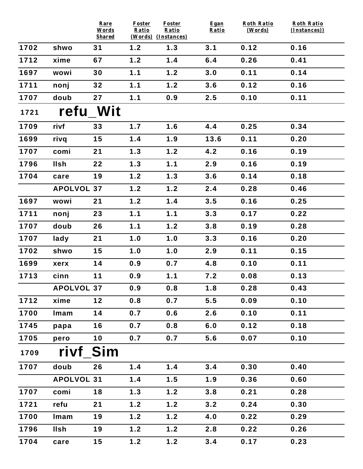|      |                   | Rare<br>Words<br><b>Shared</b> | <b>Foster</b><br>Ratio | <b>Foster</b><br>Ratio<br>(Words) (Instances) | Egan<br>Ratio | <b>Roth Ratio</b><br>(Words) | <b>Roth Ratio</b><br>(Instances)) |
|------|-------------------|--------------------------------|------------------------|-----------------------------------------------|---------------|------------------------------|-----------------------------------|
| 1702 | shwo              | 31                             | 1.2                    | 1.3                                           | 3.1           | 0.12                         | 0.16                              |
| 1712 | xime              | 67                             | 1.2                    | 1.4                                           | 6.4           | 0.26                         | 0.41                              |
| 1697 | wowi              | 30                             | 1.1                    | 1.2                                           | 3.0           | 0.11                         | 0.14                              |
| 1711 | nonj              | 32                             | 1.1                    | 1.2                                           | 3.6           | 0.12                         | 0.16                              |
| 1707 | doub              | 27                             | 1.1                    | 0.9                                           | 2.5           | 0.10                         | 0.11                              |
| 1721 | refu Wit          |                                |                        |                                               |               |                              |                                   |
| 1709 | rivf              | 33                             | 1.7                    | 1.6                                           | 4.4           | 0.25                         | 0.34                              |
| 1699 | rivq              | 15                             | 1.4                    | 1.9                                           | 13.6          | 0.11                         | 0.20                              |
| 1707 | comi              | 21                             | 1.3                    | 1.2                                           | 4.2           | 0.16                         | 0.19                              |
| 1796 | <b>Ilsh</b>       | 22                             | 1.3                    | 1.1                                           | 2.9           | 0.16                         | 0.19                              |
| 1704 | care              | 19                             | 1.2                    | $1.3$                                         | 3.6           | 0.14                         | 0.18                              |
|      | <b>APOLVOL 37</b> |                                | $1.2$                  | 1.2                                           | 2.4           | 0.28                         | 0.46                              |
| 1697 | wowi              | 21                             | 1.2                    | 1.4                                           | 3.5           | 0.16                         | 0.25                              |
| 1711 | nonj              | 23                             | 1.1                    | 1.1                                           | 3.3           | 0.17                         | 0.22                              |
| 1707 | doub              | 26                             | 1.1                    | 1.2                                           | 3.8           | 0.19                         | 0.28                              |
| 1707 | lady              | 21                             | 1.0                    | 1.0                                           | 3.3           | 0.16                         | 0.20                              |
| 1702 | shwo              | 15                             | 1.0                    | 1.0                                           | 2.9           | 0.11                         | 0.15                              |
| 1699 | xerx              | 14                             | 0.9                    | 0.7                                           | 4.8           | 0.10                         | 0.11                              |
| 1713 | cinn              | 11                             | 0.9                    | 1.1                                           | 7.2           | 0.08                         | 0.13                              |
|      | <b>APOLVOL 37</b> |                                | 0.9                    | 0.8                                           | 1.8           | 0.28                         | 0.43                              |
| 1712 | xime              | 12                             | 0.8                    | 0.7                                           | 5.5           | 0.09                         | 0.10                              |
| 1700 | Imam              | 14                             | 0.7                    | 0.6                                           | 2.6           | 0.10                         | 0.11                              |
| 1745 | papa              | 16                             | 0.7                    | 0.8                                           | 6.0           | 0.12                         | 0.18                              |
| 1705 | pero              | 10                             | 0.7                    | 0.7                                           | 5.6           | 0.07                         | 0.10                              |
| 1709 | rivf Sim          |                                |                        |                                               |               |                              |                                   |
| 1707 | doub              | 26                             | 1.4                    | 1.4                                           | 3.4           | 0.30                         | 0.40                              |
|      | <b>APOLVOL 31</b> |                                | 1.4                    | 1.5                                           | 1.9           | 0.36                         | 0.60                              |
| 1707 | comi              | 18                             | 1.3                    | 1.2                                           | 3.8           | 0.21                         | 0.28                              |
| 1721 | refu              | 21                             | 1.2                    | 1.2                                           | 3.2           | 0.24                         | 0.30                              |
| 1700 | Imam              | 19                             | 1.2                    | 1.2                                           | 4.0           | 0.22                         | 0.29                              |
| 1796 | <b>Ilsh</b>       | 19                             | 1.2                    | 1.2                                           | 2.8           | 0.22                         | 0.26                              |
| 1704 | care              | 15                             | $1.2$                  | 1.2                                           | 3.4           | 0.17                         | 0.23                              |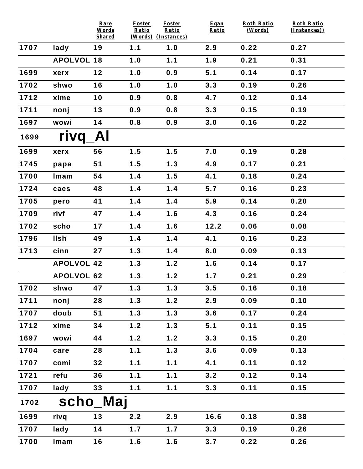|      |                   | Rare<br>Words       | <b>Foster</b><br>Ratio | <b>Foster</b><br>Ratio     | Egan<br>Ratio | <b>Roth Ratio</b><br>(Words) | <b>Roth Ratio</b><br>(Instances)) |
|------|-------------------|---------------------|------------------------|----------------------------|---------------|------------------------------|-----------------------------------|
| 1707 | lady              | <b>Shared</b><br>19 | 1.1                    | (Words) (Instances)<br>1.0 | 2.9           | 0.22                         | 0.27                              |
|      | <b>APOLVOL 18</b> |                     | 1.0                    | 1.1                        | 1.9           | 0.21                         | 0.31                              |
|      |                   |                     |                        |                            |               |                              |                                   |
| 1699 | xerx              | 12                  | 1.0                    | 0.9                        | 5.1           | 0.14                         | 0.17                              |
| 1702 | shwo              | 16                  | 1.0                    | 1.0                        | 3.3           | 0.19                         | 0.26                              |
| 1712 | xime              | 10                  | 0.9                    | 0.8                        | 4.7           | 0.12                         | 0.14                              |
| 1711 | nonj              | 13                  | 0.9                    | 0.8                        | 3.3           | 0.15                         | 0.19                              |
| 1697 | wowi              | 14                  | 0.8                    | 0.9                        | 3.0           | 0.16                         | 0.22                              |
| 1699 | rivq              | Al                  |                        |                            |               |                              |                                   |
| 1699 | xerx              | 56                  | 1.5                    | 1.5                        | 7.0           | 0.19                         | 0.28                              |
| 1745 | papa              | 51                  | 1.5                    | 1.3                        | 4.9           | 0.17                         | 0.21                              |
| 1700 | Imam              | 54                  | 1.4                    | 1.5                        | 4.1           | 0.18                         | 0.24                              |
| 1724 | caes              | 48                  | 1.4                    | 1.4                        | 5.7           | 0.16                         | 0.23                              |
| 1705 | pero              | 41                  | 1.4                    | 1.4                        | 5.9           | 0.14                         | 0.20                              |
| 1709 | rivf              | 47                  | 1.4                    | 1.6                        | 4.3           | 0.16                         | 0.24                              |
| 1702 | scho              | 17                  | 1.4                    | 1.6                        | 12.2          | 0.06                         | 0.08                              |
| 1796 | <b>Ilsh</b>       | 49                  | 1.4                    | 1.4                        | 4.1           | 0.16                         | 0.23                              |
| 1713 | cinn              | 27                  | 1.3                    | 1.4                        | 8.0           | 0.09                         | 0.13                              |
|      | <b>APOLVOL 42</b> |                     | 1.3                    | 1.2                        | 1.6           | 0.14                         | 0.17                              |
|      | <b>APOLVOL 62</b> |                     | 1.3                    | 1.2                        | 1.7           | 0.21                         | 0.29                              |
| 1702 | shwo              | 47                  | 1.3                    | 1.3                        | 3.5           | 0.16                         | 0.18                              |
| 1711 | nonj              | 28                  | 1.3                    | 1.2                        | 2.9           | 0.09                         | 0.10                              |
| 1707 | doub              | 51                  | 1.3                    | 1.3                        | 3.6           | 0.17                         | 0.24                              |
| 1712 | xime              | 34                  | 1.2                    | 1.3                        | 5.1           | 0.11                         | 0.15                              |
| 1697 | wowi              | 44                  | $1.2$                  | 1.2                        | 3.3           | 0.15                         | 0.20                              |
| 1704 | care              | 28                  | 1.1                    | 1.3                        | 3.6           | 0.09                         | 0.13                              |
| 1707 | comi              | 32                  | 1.1                    | 1.1                        | 4.1           | 0.11                         | 0.12                              |
| 1721 | refu              | 36                  | 1.1                    | 1.1                        | 3.2           | 0.12                         | 0.14                              |
| 1707 | lady              | 33                  | 1.1                    | 1.1                        | 3.3           | 0.11                         | 0.15                              |
| 1702 | scho_Maj          |                     |                        |                            |               |                              |                                   |
| 1699 | rivq              | 13                  | 2.2                    | 2.9                        | 16.6          | 0.18                         | 0.38                              |
| 1707 | lady              | 14                  | 1.7                    | 1.7                        | 3.3           | 0.19                         | 0.26                              |
| 1700 | Imam              | 16                  | 1.6                    | 1.6                        | 3.7           | 0.22                         | 0.26                              |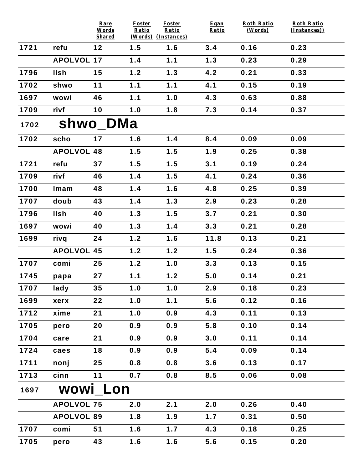|      |                   | Rare<br>Words         | <b>Foster</b><br>Ratio     | <b>Foster</b><br>Ratio | Egan<br>Ratio | <b>Roth Ratio</b><br>(Words) | <b>Roth Ratio</b><br>(Instances)) |  |  |  |
|------|-------------------|-----------------------|----------------------------|------------------------|---------------|------------------------------|-----------------------------------|--|--|--|
| 1721 | refu              | <b>Shared</b><br>$12$ | (Words) (Instances)<br>1.5 | 1.6                    | 3.4           | 0.16                         | 0.23                              |  |  |  |
|      | <b>APOLVOL 17</b> |                       | 1.4                        | 1.1                    | 1.3           | 0.23                         | 0.29                              |  |  |  |
| 1796 | <b>Ilsh</b>       | 15                    | 1.2                        | 1.3                    | 4.2           | 0.21                         | 0.33                              |  |  |  |
| 1702 |                   | 11                    | 1.1                        | 1.1                    | 4.1           | 0.15                         | 0.19                              |  |  |  |
|      | shwo              |                       |                            |                        |               |                              |                                   |  |  |  |
| 1697 | wowi              | 46                    | 1.1                        | 1.0                    | 4.3           | 0.63                         | 0.88                              |  |  |  |
| 1709 | rivf              | 10                    | 1.0                        | 1.8                    | 7.3           | 0.14                         | 0.37                              |  |  |  |
| 1702 | shwo_DMa          |                       |                            |                        |               |                              |                                   |  |  |  |
| 1702 | scho              | 17                    | 1.6                        | 1.4                    | 8.4           | 0.09                         | 0.09                              |  |  |  |
|      | <b>APOLVOL 48</b> |                       | 1.5                        | 1.5                    | 1.9           | 0.25                         | 0.38                              |  |  |  |
| 1721 | refu              | 37                    | 1.5                        | 1.5                    | 3.1           | 0.19                         | 0.24                              |  |  |  |
| 1709 | rivf              | 46                    | 1.4                        | 1.5                    | 4.1           | 0.24                         | 0.36                              |  |  |  |
| 1700 | Imam              | 48                    | 1.4                        | 1.6                    | 4.8           | 0.25                         | 0.39                              |  |  |  |
| 1707 | doub              | 43                    | 1.4                        | 1.3                    | 2.9           | 0.23                         | 0.28                              |  |  |  |
| 1796 | <b>Ilsh</b>       | 40                    | 1.3                        | 1.5                    | 3.7           | 0.21                         | 0.30                              |  |  |  |
| 1697 | wowi              | 40                    | 1.3                        | 1.4                    | 3.3           | 0.21                         | 0.28                              |  |  |  |
| 1699 | rivq              | 24                    | 1.2                        | 1.6                    | 11.8          | 0.13                         | 0.21                              |  |  |  |
|      | <b>APOLVOL 45</b> |                       | 1.2                        | 1.2                    | 1.5           | 0.24                         | 0.36                              |  |  |  |
| 1707 | comi              | 25                    | 1.2                        | 1.0                    | 3.3           | 0.13                         | 0.15                              |  |  |  |
| 1745 | papa              | 27                    | 1.1                        | 1.2                    | 5.0           | 0.14                         | 0.21                              |  |  |  |
| 1707 | lady              | 35                    | 1.0                        | 1.0                    | 2.9           | 0.18                         | 0.23                              |  |  |  |
| 1699 | xerx              | 22                    | 1.0                        | 1.1                    | 5.6           | 0.12                         | 0.16                              |  |  |  |
| 1712 | xime              | 21                    | 1.0                        | 0.9                    | 4.3           | 0.11                         | 0.13                              |  |  |  |
| 1705 | pero              | 20                    | 0.9                        | 0.9                    | 5.8           | 0.10                         | 0.14                              |  |  |  |
| 1704 | care              | 21                    | 0.9                        | 0.9                    | 3.0           | 0.11                         | 0.14                              |  |  |  |
| 1724 | caes              | 18                    | 0.9                        | 0.9                    | 5.4           | 0.09                         | 0.14                              |  |  |  |
| 1711 | nonj              | 25                    | 0.8                        | 0.8                    | 3.6           | 0.13                         | 0.17                              |  |  |  |
| 1713 | cinn              | 11                    | 0.7                        | 0.8                    | 8.5           | 0.06                         | 0.08                              |  |  |  |
| 1697 |                   | wowi Lon              |                            |                        |               |                              |                                   |  |  |  |
|      | <b>APOLVOL 75</b> |                       | 2.0                        | 2.1                    | 2.0           | 0.26                         | 0.40                              |  |  |  |
|      | <b>APOLVOL 89</b> |                       | 1.8                        | 1.9                    | 1.7           | 0.31                         | 0.50                              |  |  |  |
| 1707 | comi              | 51                    | 1.6                        | 1.7                    | 4.3           | 0.18                         | 0.25                              |  |  |  |
| 1705 | pero              | 43                    | 1.6                        | 1.6                    | 5.6           | 0.15                         | 0.20                              |  |  |  |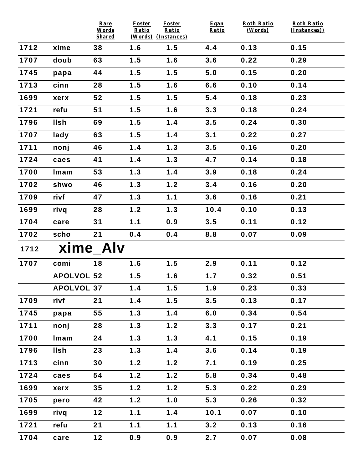|      |                   | Rare<br>Words       | Foster<br>Ratio            | Foster<br>Ratio | Egan<br>Ratio | <b>Roth Ratio</b><br>(Words) | <b>Roth Ratio</b><br>(Instances)) |
|------|-------------------|---------------------|----------------------------|-----------------|---------------|------------------------------|-----------------------------------|
| 1712 | xime              | <b>Shared</b><br>38 | (Words) (Instances)<br>1.6 | 1.5             | 4.4           | 0.13                         | 0.15                              |
| 1707 | doub              | 63                  | 1.5                        | 1.6             | 3.6           | 0.22                         | 0.29                              |
| 1745 |                   | 44                  | 1.5                        | 1.5             | 5.0           | 0.15                         | 0.20                              |
|      | papa              |                     |                            |                 |               |                              |                                   |
| 1713 | cinn              | 28                  | 1.5                        | 1.6             | 6.6           | 0.10                         | 0.14                              |
| 1699 | xerx              | 52                  | 1.5                        | 1.5             | 5.4           | 0.18                         | 0.23                              |
| 1721 | refu              | 51                  | 1.5                        | 1.6             | 3.3           | 0.18                         | 0.24                              |
| 1796 | <b>Ilsh</b>       | 69                  | 1.5                        | 1.4             | 3.5           | 0.24                         | 0.30                              |
| 1707 | lady              | 63                  | 1.5                        | 1.4             | 3.1           | 0.22                         | 0.27                              |
| 1711 | nonj              | 46                  | 1.4                        | 1.3             | 3.5           | 0.16                         | 0.20                              |
| 1724 | caes              | 41                  | 1.4                        | 1.3             | 4.7           | 0.14                         | 0.18                              |
| 1700 | Imam              | 53                  | 1.3                        | 1.4             | 3.9           | 0.18                         | 0.24                              |
| 1702 | shwo              | 46                  | 1.3                        | 1.2             | 3.4           | 0.16                         | 0.20                              |
| 1709 | rivf              | 47                  | 1.3                        | 1.1             | 3.6           | 0.16                         | 0.21                              |
| 1699 | rivq              | 28                  | 1.2                        | 1.3             | 10.4          | 0.10                         | 0.13                              |
| 1704 | care              | 31                  | 1.1                        | 0.9             | 3.5           | 0.11                         | 0.12                              |
| 1702 | scho              | 21                  | 0.4                        | 0.4             | 8.8           | 0.07                         | 0.09                              |
| 1712 |                   | xime Alv            |                            |                 |               |                              |                                   |
| 1707 | comi              | 18                  | 1.6                        | 1.5             | 2.9           | 0.11                         | 0.12                              |
|      | <b>APOLVOL 52</b> |                     | 1.5                        | 1.6             | 1.7           | 0.32                         | 0.51                              |
|      | <b>APOLVOL 37</b> |                     | 1.4                        | 1.5             | 1.9           | 0.23                         | 0.33                              |
| 1709 | rivf              | 21                  | 1.4                        | 1.5             | 3.5           | 0.13                         | 0.17                              |
| 1745 | papa              | 55                  | 1.3                        | 1.4             | 6.0           | 0.34                         | 0.54                              |
| 1711 | nonj              | 28                  | 1.3                        | 1.2             | 3.3           | 0.17                         | 0.21                              |
| 1700 | Imam              | 24                  | 1.3                        | 1.3             | 4.1           | 0.15                         | 0.19                              |
| 1796 | <b>Ilsh</b>       | 23                  | 1.3                        | 1.4             | 3.6           | 0.14                         | 0.19                              |
| 1713 | cinn              | 30                  | 1.2                        | 1.2             | 7.1           | 0.19                         | 0.25                              |
| 1724 | caes              | 54                  | 1.2                        | 1.2             | 5.8           | 0.34                         | 0.48                              |
| 1699 | xerx              | 35                  | 1.2                        | 1.2             | 5.3           | 0.22                         | 0.29                              |
| 1705 | pero              | 42                  | 1.2                        | 1.0             | 5.3           | 0.26                         | 0.32                              |
| 1699 | rivq              | $12$                | 1.1                        | 1.4             | 10.1          | 0.07                         | 0.10                              |
| 1721 | refu              | 21                  | 1.1                        | 1.1             | 3.2           | 0.13                         | 0.16                              |
| 1704 | care              | $12$                | 0.9                        | 0.9             | 2.7           | 0.07                         | 0.08                              |